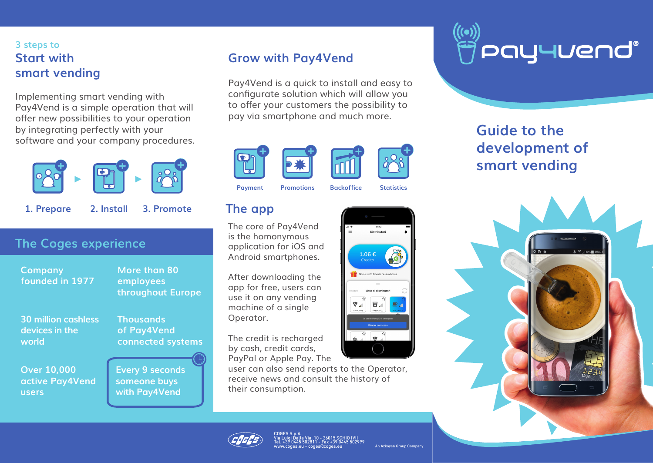# **3 steps to Start with smart vending**

Implementing smart vending with Pay4Vend is a simple operation that will offer new possibilities to your operation by integrating perfectly with your software and your company procedures.



**1. Prepare 2. Install 3. Promote**

# **The Coges experience**

**Company founded in 1977**

**30 million cashless devices in the world**

**Thousands of Pay4Vend** 

**More than 80 employees** 

**Over 10,000 active Pay4Vend users**

**connected systems**

**throughout Europe**

**Every 9 seconds someone buys with Pay4Vend**

# **Grow with Pay4Vend**

Pay4Vend is a quick to install and easy to configurate solution which will allow you to offer your customers the possibility to pay via smartphone and much more.







**Payment Promotions Backoffice Statistics**

# **The app**

The core of Pay4Vend is the homonymous application for iOS and Android smartphones.

After downloading the app for free, users can use it on any vending machine of a single Operator.

The credit is recharged by cash, credit cards, PayPal or Apple Pay. The

user can also send reports to the Operator, receive news and consult the history of their consumption.





# **Guide to the development of smart vending**





COGES S.p.A. Via Luigi Dalla Via, 10 - 36015 SCHIO (VI) Tel. +39 0445 502811 - Fax +39 0445 502999 www.coges.eu - coges@coges.eu

An Azkoyen Group Company